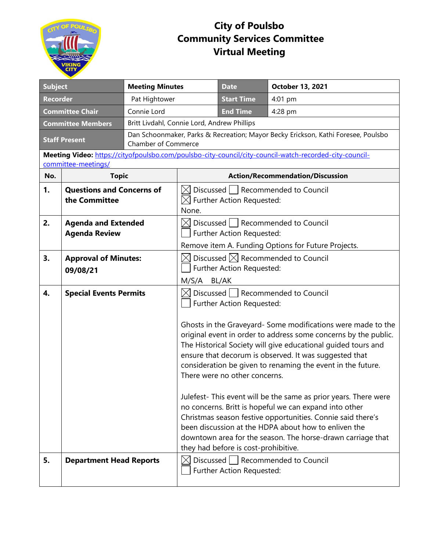

## **City of Poulsbo Community Services Committee Virtual Meeting**

| <b>Subject</b>                                     |                                                    | <b>Meeting Minutes</b>                                                            |                                                                                                                                                                                                                                                                                                                                                                                                                                                                                                                                                                                                                                                                                                                                                                                                                 | <b>Date</b>               | October 13, 2021                                                                                        |  |
|----------------------------------------------------|----------------------------------------------------|-----------------------------------------------------------------------------------|-----------------------------------------------------------------------------------------------------------------------------------------------------------------------------------------------------------------------------------------------------------------------------------------------------------------------------------------------------------------------------------------------------------------------------------------------------------------------------------------------------------------------------------------------------------------------------------------------------------------------------------------------------------------------------------------------------------------------------------------------------------------------------------------------------------------|---------------------------|---------------------------------------------------------------------------------------------------------|--|
| <b>Recorder</b>                                    |                                                    | Pat Hightower                                                                     |                                                                                                                                                                                                                                                                                                                                                                                                                                                                                                                                                                                                                                                                                                                                                                                                                 | <b>Start Time</b>         | 4:01 pm                                                                                                 |  |
| <b>Committee Chair</b><br>Connie Lord              |                                                    |                                                                                   | <b>End Time</b>                                                                                                                                                                                                                                                                                                                                                                                                                                                                                                                                                                                                                                                                                                                                                                                                 | 4:28 pm                   |                                                                                                         |  |
| <b>Committee Members</b>                           |                                                    |                                                                                   | Britt Livdahl, Connie Lord, Andrew Phillips                                                                                                                                                                                                                                                                                                                                                                                                                                                                                                                                                                                                                                                                                                                                                                     |                           |                                                                                                         |  |
| <b>Staff Present</b><br><b>Chamber of Commerce</b> |                                                    | Dan Schoonmaker, Parks & Recreation; Mayor Becky Erickson, Kathi Foresee, Poulsbo |                                                                                                                                                                                                                                                                                                                                                                                                                                                                                                                                                                                                                                                                                                                                                                                                                 |                           |                                                                                                         |  |
|                                                    | committee-meetings/                                |                                                                                   |                                                                                                                                                                                                                                                                                                                                                                                                                                                                                                                                                                                                                                                                                                                                                                                                                 |                           | Meeting Video: https://cityofpoulsbo.com/poulsbo-city-council/city-council-watch-recorded-city-council- |  |
| No.                                                | <b>Topic</b>                                       |                                                                                   | <b>Action/Recommendation/Discussion</b>                                                                                                                                                                                                                                                                                                                                                                                                                                                                                                                                                                                                                                                                                                                                                                         |                           |                                                                                                         |  |
| 1.                                                 | <b>Questions and Concerns of</b><br>the Committee  |                                                                                   | Discussed   Recommended to Council<br>$\boxtimes$ Further Action Requested:<br>None.                                                                                                                                                                                                                                                                                                                                                                                                                                                                                                                                                                                                                                                                                                                            |                           |                                                                                                         |  |
| 2.                                                 | <b>Agenda and Extended</b><br><b>Agenda Review</b> |                                                                                   | $\boxtimes$ Discussed $\mid\;$   Recommended to Council<br>Further Action Requested:<br>Remove item A. Funding Options for Future Projects.                                                                                                                                                                                                                                                                                                                                                                                                                                                                                                                                                                                                                                                                     |                           |                                                                                                         |  |
| 3.                                                 | <b>Approval of Minutes:</b><br>09/08/21            |                                                                                   | $\boxtimes$ Discussed $\boxtimes$ Recommended to Council<br>Further Action Requested:<br>M/S/A BL/AK                                                                                                                                                                                                                                                                                                                                                                                                                                                                                                                                                                                                                                                                                                            |                           |                                                                                                         |  |
| 4.                                                 | <b>Special Events Permits</b>                      |                                                                                   | $\boxtimes$ Discussed $\parallel$ Recommended to Council<br>Further Action Requested:<br>Ghosts in the Graveyard- Some modifications were made to the<br>original event in order to address some concerns by the public.<br>The Historical Society will give educational guided tours and<br>ensure that decorum is observed. It was suggested that<br>consideration be given to renaming the event in the future.<br>There were no other concerns.<br>Julefest- This event will be the same as prior years. There were<br>no concerns. Britt is hopeful we can expand into other<br>Christmas season festive opportunities. Connie said there's<br>been discussion at the HDPA about how to enliven the<br>downtown area for the season. The horse-drawn carriage that<br>they had before is cost-prohibitive. |                           |                                                                                                         |  |
| 5.                                                 | <b>Department Head Reports</b>                     |                                                                                   |                                                                                                                                                                                                                                                                                                                                                                                                                                                                                                                                                                                                                                                                                                                                                                                                                 | Further Action Requested: | $\boxtimes$ Discussed $\parallel$ Recommended to Council                                                |  |